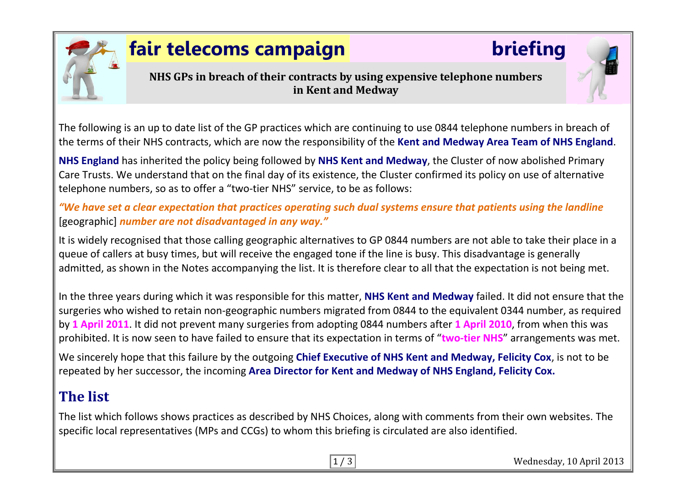

# **fair telecoms campaign briefing**

**NHS GPs in breach of their contracts by using expensive telephone numbers in Kent and Medway**

The following is an up to date list of the GP practices which are continuing to use 0844 telephone numbers in breach of the terms of their NHS contracts, which are now the responsibility of the **Kent and Medway Area Team of NHS England**.

**NHS England** has inherited the policy being followed by **NHS Kent and Medway**, the Cluster of now abolished Primary Care Trusts. We understand that on the final day of its existence, the Cluster confirmed its policy on use of alternative telephone numbers, so as to offer a "two-tier NHS" service, to be as follows:

*"We have set a clear expectation that practices operating such dual systems ensure that patients using the landline* [geographic] *number are not disadvantaged in any way."*

It is widely recognised that those calling geographic alternatives to GP 0844 numbers are not able to take their place in a queue of callers at busy times, but will receive the engaged tone if the line is busy. This disadvantage is generally admitted, as shown in the Notes accompanying the list. It is therefore clear to all that the expectation is not being met.

In the three years during which it was responsible for this matter, **NHS Kent and Medway** failed. It did not ensure that the surgeries who wished to retain non-geographic numbers migrated from 0844 to the equivalent 0344 number, as required by **1 April 2011**. It did not prevent many surgeries from adopting 0844 numbers after **1 April 2010**, from when this was prohibited. It is now seen to have failed to ensure that its expectation in terms of "**two-tier NHS**" arrangements was met.

We sincerely hope that this failure by the outgoing **Chief Executive of NHS Kent and Medway, Felicity Cox**, is not to be repeated by her successor, the incoming **Area Director for Kent and Medway of NHS England, Felicity Cox.**

# **The list**

The list which follows shows practices as described by NHS Choices, along with comments from their own websites. The specific local representatives (MPs and CCGs) to whom this briefing is circulated are also identified.

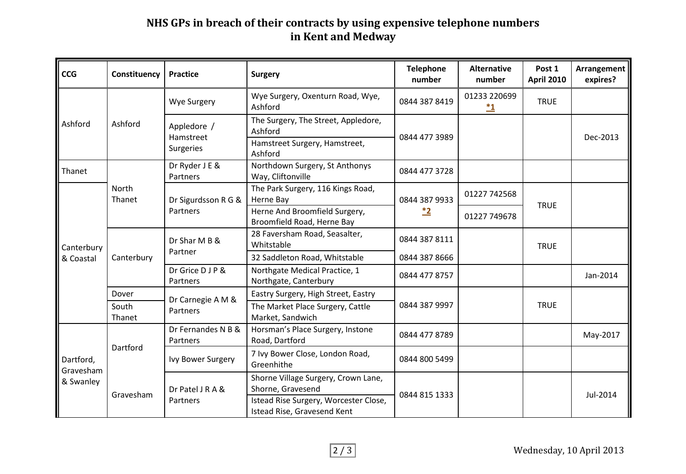### **NHS GPs in breach of their contracts by using expensive telephone numbers in Kent and Medway**

| <b>CCG</b>                          | Constituency    | <b>Practice</b>                              | <b>Surgery</b>                                                       | <b>Telephone</b><br>number | <b>Alternative</b><br>number | Post 1<br><b>April 2010</b> | Arrangement<br>expires? |
|-------------------------------------|-----------------|----------------------------------------------|----------------------------------------------------------------------|----------------------------|------------------------------|-----------------------------|-------------------------|
| Ashford                             | Ashford         | Wye Surgery                                  | Wye Surgery, Oxenturn Road, Wye,<br>Ashford                          | 0844 387 8419              | 01233 220699<br>$\mathbf{1}$ | <b>TRUE</b>                 |                         |
|                                     |                 | Appledore /<br>Hamstreet<br><b>Surgeries</b> | The Surgery, The Street, Appledore,<br>Ashford                       | 0844 477 3989              |                              |                             | Dec-2013                |
|                                     |                 |                                              | Hamstreet Surgery, Hamstreet,<br>Ashford                             |                            |                              |                             |                         |
| Thanet                              |                 | Dr Ryder J E &<br>Partners                   | Northdown Surgery, St Anthonys<br>Way, Cliftonville                  | 0844 477 3728              |                              |                             |                         |
| Canterbury<br>& Coastal             | North<br>Thanet | Dr Sigurdsson R G &<br>Partners              | The Park Surgery, 116 Kings Road,<br>Herne Bay                       | 0844 387 9933<br><u>*2</u> | 01227 742568                 | <b>TRUE</b>                 |                         |
|                                     |                 |                                              | Herne And Broomfield Surgery,<br>Broomfield Road, Herne Bay          |                            | 01227 749678                 |                             |                         |
|                                     | Canterbury      | Dr Shar M B &<br>Partner                     | 28 Faversham Road, Seasalter,<br>Whitstable                          | 0844 387 8111              |                              | <b>TRUE</b>                 |                         |
|                                     |                 |                                              | 32 Saddleton Road, Whitstable                                        | 0844 387 8666              |                              |                             |                         |
|                                     |                 | Dr Grice D J P &<br>Partners                 | Northgate Medical Practice, 1<br>Northgate, Canterbury               | 0844 477 8757              |                              |                             | Jan-2014                |
|                                     | Dover           | Dr Carnegie A M &<br>Partners                | Eastry Surgery, High Street, Eastry                                  | 0844 387 9997              |                              |                             |                         |
|                                     | South<br>Thanet |                                              | The Market Place Surgery, Cattle<br>Market, Sandwich                 |                            |                              | <b>TRUE</b>                 |                         |
| Dartford,<br>Gravesham<br>& Swanley | Dartford        | Dr Fernandes N B &<br>Partners               | Horsman's Place Surgery, Instone<br>Road, Dartford                   | 0844 477 8789              |                              |                             | May-2017                |
|                                     |                 | Ivy Bower Surgery                            | 7 Ivy Bower Close, London Road,<br>Greenhithe                        | 0844 800 5499              |                              |                             |                         |
|                                     | Gravesham       | Dr Patel J R A &<br>Partners                 | Shorne Village Surgery, Crown Lane,                                  | 0844 815 1333              |                              |                             |                         |
|                                     |                 |                                              | Shorne, Gravesend                                                    |                            |                              |                             | Jul-2014                |
|                                     |                 |                                              | Istead Rise Surgery, Worcester Close,<br>Istead Rise, Gravesend Kent |                            |                              |                             |                         |